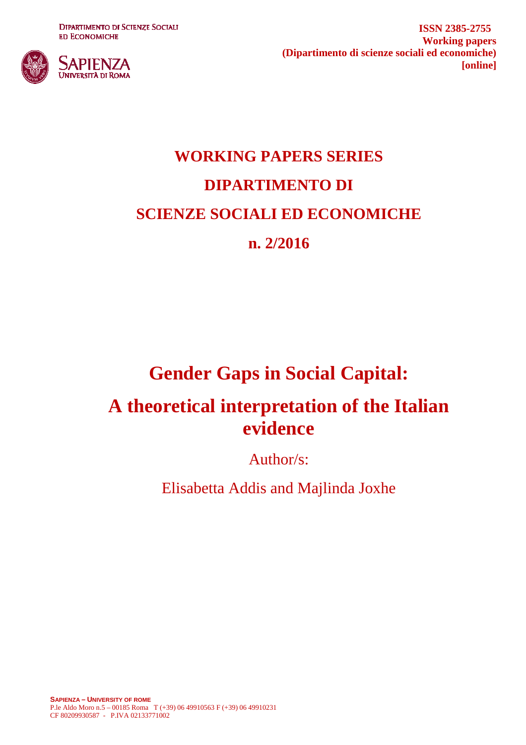**DIPARTIMENTO DI SCIENZE SOCIALI ED ECONOMICHE** 



**ISSN 2385-2755 Working papers (Dipartimento di scienze sociali ed economiche) [online]**

# **WORKING PAPERS SERIES DIPARTIMENTO DI SCIENZE SOCIALI ED ECONOMICHE n. 2/2016**

## **Gender Gaps in Social Capital:**

## **A theoretical interpretation of the Italian evidence**

Author/s:

Elisabetta Addis and Majlinda Joxhe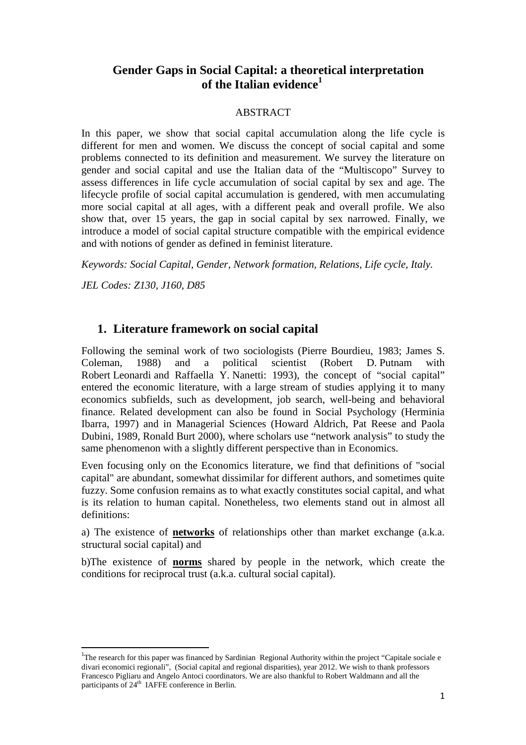## **Gender Gaps in Social Capital: a theoretical interpretation of the Italian evidence<sup>1</sup>**

#### ABSTRACT

In this paper, we show that social capital accumulation along the life cycle is different for men and women. We discuss the concept of social capital and some problems connected to its definition and measurement. We survey the literature on gender and social capital and use the Italian data of the "Multiscopo" Survey to assess differences in life cycle accumulation of social capital by sex and age. The lifecycle profile of social capital accumulation is gendered, with men accumulating more social capital at all ages, with a different peak and overall profile. We also show that, over 15 years, the gap in social capital by sex narrowed. Finally, we introduce a model of social capital structure compatible with the empirical evidence and with notions of gender as defined in feminist literature.

*Keywords: Social Capital, Gender, Network formation, Relations, Life cycle, Italy.* 

*JEL Codes: Z130, J160, D85* 

l

## **1. Literature framework on social capital**

Following the seminal work of two sociologists (Pierre Bourdieu, 1983; James S. Coleman, 1988) and a political scientist (Robert D. Putnam with Robert Leonardi and Raffaella Y. Nanetti: 1993), the concept of "social capital" entered the economic literature, with a large stream of studies applying it to many economics subfields, such as development, job search, well-being and behavioral finance. Related development can also be found in Social Psychology (Herminia Ibarra, 1997) and in Managerial Sciences (Howard Aldrich, Pat Reese and Paola Dubini, 1989, Ronald Burt 2000), where scholars use "network analysis" to study the same phenomenon with a slightly different perspective than in Economics.

Even focusing only on the Economics literature, we find that definitions of "social capital" are abundant, somewhat dissimilar for different authors, and sometimes quite fuzzy. Some confusion remains as to what exactly constitutes social capital, and what is its relation to human capital. Nonetheless, two elements stand out in almost all definitions:

a) The existence of **networks** of relationships other than market exchange (a.k.a. structural social capital) and

b)The existence of **norms** shared by people in the network, which create the conditions for reciprocal trust (a.k.a. cultural social capital).

<sup>&</sup>lt;sup>1</sup>The research for this paper was financed by Sardinian Regional Authority within the project "Capitale sociale e divari economici regionali", (Social capital and regional disparities), year 2012. We wish to thank professors Francesco Pigliaru and Angelo Antoci coordinators. We are also thankful to Robert Waldmann and all the participants of 24<sup>th</sup> IAFFE conference in Berlin.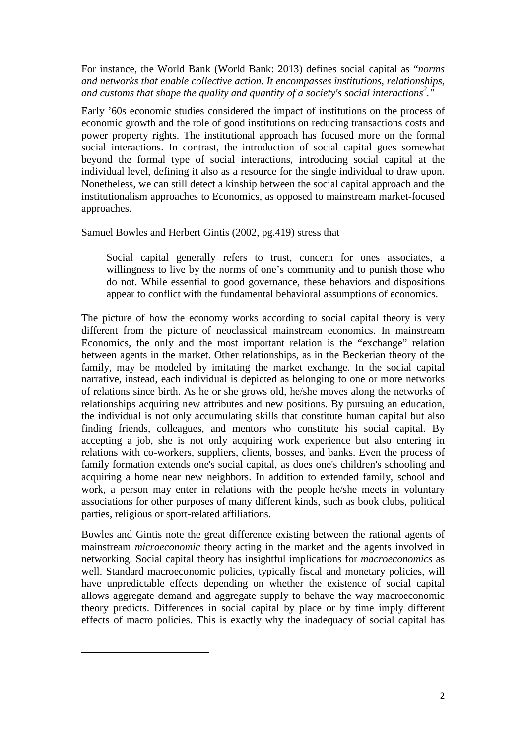For instance, the World Bank (World Bank: 2013) defines social capital as "*norms and networks that enable collective action. It encompasses institutions, relationships, and customs that shape the quality and quantity of a society's social interactions<sup>2</sup> ."* 

Early '60s economic studies considered the impact of institutions on the process of economic growth and the role of good institutions on reducing transactions costs and power property rights. The institutional approach has focused more on the formal social interactions. In contrast, the introduction of social capital goes somewhat beyond the formal type of social interactions, introducing social capital at the individual level, defining it also as a resource for the single individual to draw upon. Nonetheless, we can still detect a kinship between the social capital approach and the institutionalism approaches to Economics, as opposed to mainstream market-focused approaches.

Samuel Bowles and Herbert Gintis (2002, pg.419) stress that

Social capital generally refers to trust, concern for ones associates, a willingness to live by the norms of one's community and to punish those who do not. While essential to good governance, these behaviors and dispositions appear to conflict with the fundamental behavioral assumptions of economics.

The picture of how the economy works according to social capital theory is very different from the picture of neoclassical mainstream economics. In mainstream Economics, the only and the most important relation is the "exchange" relation between agents in the market. Other relationships, as in the Beckerian theory of the family, may be modeled by imitating the market exchange. In the social capital narrative, instead, each individual is depicted as belonging to one or more networks of relations since birth. As he or she grows old, he/she moves along the networks of relationships acquiring new attributes and new positions. By pursuing an education, the individual is not only accumulating skills that constitute human capital but also finding friends, colleagues, and mentors who constitute his social capital. By accepting a job, she is not only acquiring work experience but also entering in relations with co-workers, suppliers, clients, bosses, and banks. Even the process of family formation extends one's social capital, as does one's children's schooling and acquiring a home near new neighbors. In addition to extended family, school and work, a person may enter in relations with the people he/she meets in voluntary associations for other purposes of many different kinds, such as book clubs, political parties, religious or sport-related affiliations.

Bowles and Gintis note the great difference existing between the rational agents of mainstream *microeconomic* theory acting in the market and the agents involved in networking. Social capital theory has insightful implications for *macroeconomics* as well. Standard macroeconomic policies, typically fiscal and monetary policies, will have unpredictable effects depending on whether the existence of social capital allows aggregate demand and aggregate supply to behave the way macroeconomic theory predicts. Differences in social capital by place or by time imply different effects of macro policies. This is exactly why the inadequacy of social capital has

l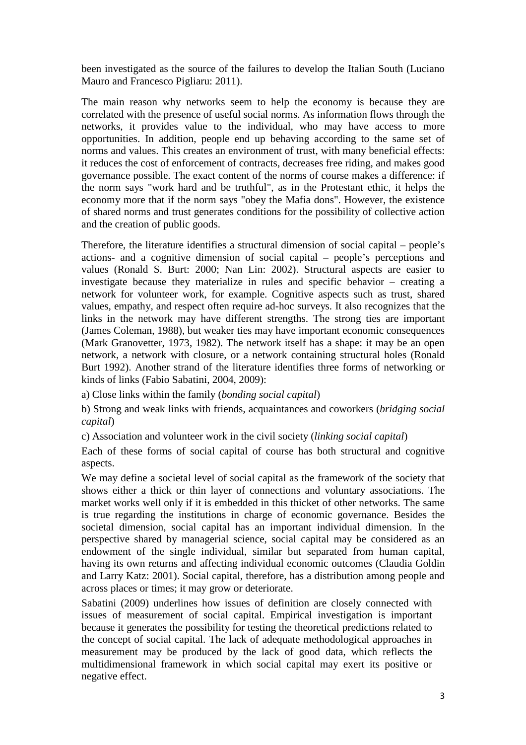been investigated as the source of the failures to develop the Italian South (Luciano Mauro and Francesco Pigliaru: 2011).

The main reason why networks seem to help the economy is because they are correlated with the presence of useful social norms. As information flows through the networks, it provides value to the individual, who may have access to more opportunities. In addition, people end up behaving according to the same set of norms and values. This creates an environment of trust, with many beneficial effects: it reduces the cost of enforcement of contracts, decreases free riding, and makes good governance possible. The exact content of the norms of course makes a difference: if the norm says "work hard and be truthful", as in the Protestant ethic, it helps the economy more that if the norm says "obey the Mafia dons". However, the existence of shared norms and trust generates conditions for the possibility of collective action and the creation of public goods.

Therefore, the literature identifies a structural dimension of social capital – people's actions- and a cognitive dimension of social capital – people's perceptions and values (Ronald S. Burt: 2000; Nan Lin: 2002). Structural aspects are easier to investigate because they materialize in rules and specific behavior – creating a network for volunteer work, for example. Cognitive aspects such as trust, shared values, empathy, and respect often require ad-hoc surveys. It also recognizes that the links in the network may have different strengths. The strong ties are important (James Coleman, 1988), but weaker ties may have important economic consequences (Mark Granovetter, 1973, 1982). The network itself has a shape: it may be an open network, a network with closure, or a network containing structural holes (Ronald Burt 1992). Another strand of the literature identifies three forms of networking or kinds of links (Fabio Sabatini, 2004, 2009):

a) Close links within the family (*bonding social capital*)

b) Strong and weak links with friends, acquaintances and coworkers (*bridging social capital*)

c) Association and volunteer work in the civil society (*linking social capital*)

Each of these forms of social capital of course has both structural and cognitive aspects.

We may define a societal level of social capital as the framework of the society that shows either a thick or thin layer of connections and voluntary associations. The market works well only if it is embedded in this thicket of other networks. The same is true regarding the institutions in charge of economic governance. Besides the societal dimension, social capital has an important individual dimension. In the perspective shared by managerial science, social capital may be considered as an endowment of the single individual, similar but separated from human capital, having its own returns and affecting individual economic outcomes (Claudia Goldin and Larry Katz: 2001). Social capital, therefore, has a distribution among people and across places or times; it may grow or deteriorate.

Sabatini (2009) underlines how issues of definition are closely connected with issues of measurement of social capital. Empirical investigation is important because it generates the possibility for testing the theoretical predictions related to the concept of social capital. The lack of adequate methodological approaches in measurement may be produced by the lack of good data, which reflects the multidimensional framework in which social capital may exert its positive or negative effect.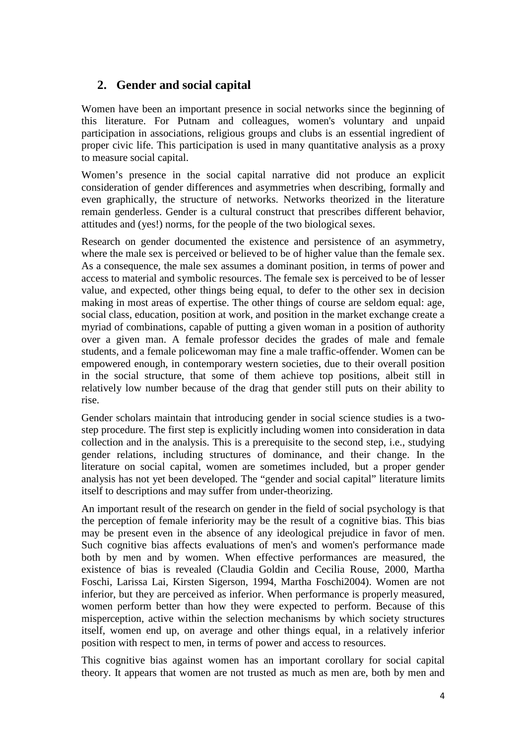## **2. Gender and social capital**

Women have been an important presence in social networks since the beginning of this literature. For Putnam and colleagues, women's voluntary and unpaid participation in associations, religious groups and clubs is an essential ingredient of proper civic life. This participation is used in many quantitative analysis as a proxy to measure social capital.

Women's presence in the social capital narrative did not produce an explicit consideration of gender differences and asymmetries when describing, formally and even graphically, the structure of networks. Networks theorized in the literature remain genderless. Gender is a cultural construct that prescribes different behavior, attitudes and (yes!) norms, for the people of the two biological sexes.

Research on gender documented the existence and persistence of an asymmetry, where the male sex is perceived or believed to be of higher value than the female sex. As a consequence, the male sex assumes a dominant position, in terms of power and access to material and symbolic resources. The female sex is perceived to be of lesser value, and expected, other things being equal, to defer to the other sex in decision making in most areas of expertise. The other things of course are seldom equal: age, social class, education, position at work, and position in the market exchange create a myriad of combinations, capable of putting a given woman in a position of authority over a given man. A female professor decides the grades of male and female students, and a female policewoman may fine a male traffic-offender. Women can be empowered enough, in contemporary western societies, due to their overall position in the social structure, that some of them achieve top positions, albeit still in relatively low number because of the drag that gender still puts on their ability to rise.

Gender scholars maintain that introducing gender in social science studies is a twostep procedure. The first step is explicitly including women into consideration in data collection and in the analysis. This is a prerequisite to the second step, i.e., studying gender relations, including structures of dominance, and their change. In the literature on social capital, women are sometimes included, but a proper gender analysis has not yet been developed. The "gender and social capital" literature limits itself to descriptions and may suffer from under-theorizing.

An important result of the research on gender in the field of social psychology is that the perception of female inferiority may be the result of a cognitive bias. This bias may be present even in the absence of any ideological prejudice in favor of men. Such cognitive bias affects evaluations of men's and women's performance made both by men and by women. When effective performances are measured, the existence of bias is revealed (Claudia Goldin and Cecilia Rouse, 2000, Martha Foschi, Larissa Lai, Kirsten Sigerson, 1994, Martha Foschi2004). Women are not inferior, but they are perceived as inferior. When performance is properly measured, women perform better than how they were expected to perform. Because of this misperception, active within the selection mechanisms by which society structures itself, women end up, on average and other things equal, in a relatively inferior position with respect to men, in terms of power and access to resources.

This cognitive bias against women has an important corollary for social capital theory. It appears that women are not trusted as much as men are, both by men and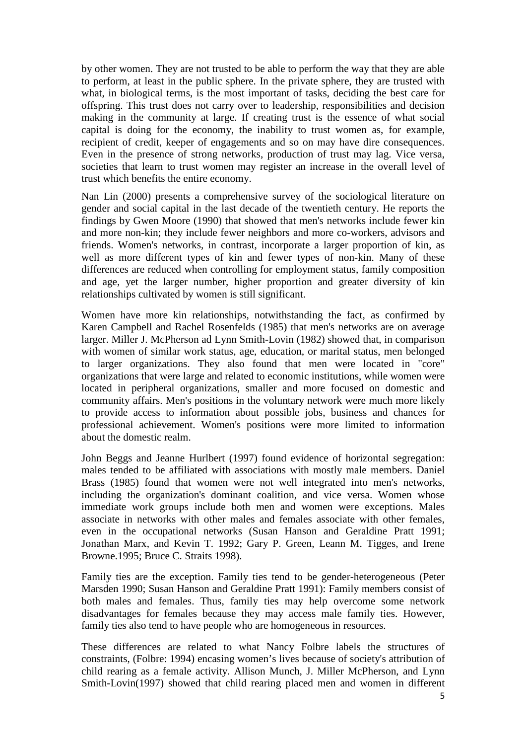by other women. They are not trusted to be able to perform the way that they are able to perform, at least in the public sphere. In the private sphere, they are trusted with what, in biological terms, is the most important of tasks, deciding the best care for offspring. This trust does not carry over to leadership, responsibilities and decision making in the community at large. If creating trust is the essence of what social capital is doing for the economy, the inability to trust women as, for example, recipient of credit, keeper of engagements and so on may have dire consequences. Even in the presence of strong networks, production of trust may lag. Vice versa, societies that learn to trust women may register an increase in the overall level of trust which benefits the entire economy.

Nan Lin (2000) presents a comprehensive survey of the sociological literature on gender and social capital in the last decade of the twentieth century. He reports the findings by Gwen Moore (1990) that showed that men's networks include fewer kin and more non-kin; they include fewer neighbors and more co-workers, advisors and friends. Women's networks, in contrast, incorporate a larger proportion of kin, as well as more different types of kin and fewer types of non-kin. Many of these differences are reduced when controlling for employment status, family composition and age, yet the larger number, higher proportion and greater diversity of kin relationships cultivated by women is still significant.

Women have more kin relationships, notwithstanding the fact, as confirmed by Karen Campbell and Rachel Rosenfelds (1985) that men's networks are on average larger. Miller J. McPherson ad Lynn Smith-Lovin (1982) showed that, in comparison with women of similar work status, age, education, or marital status, men belonged to larger organizations. They also found that men were located in "core" organizations that were large and related to economic institutions, while women were located in peripheral organizations, smaller and more focused on domestic and community affairs. Men's positions in the voluntary network were much more likely to provide access to information about possible jobs, business and chances for professional achievement. Women's positions were more limited to information about the domestic realm.

John Beggs and Jeanne Hurlbert (1997) found evidence of horizontal segregation: males tended to be affiliated with associations with mostly male members. Daniel Brass (1985) found that women were not well integrated into men's networks, including the organization's dominant coalition, and vice versa. Women whose immediate work groups include both men and women were exceptions. Males associate in networks with other males and females associate with other females, even in the occupational networks (Susan Hanson and Geraldine Pratt 1991; Jonathan Marx, and Kevin T. 1992; Gary P. Green, Leann M. Tigges, and Irene Browne.1995; Bruce C. Straits 1998).

Family ties are the exception. Family ties tend to be gender-heterogeneous (Peter Marsden 1990; Susan Hanson and Geraldine Pratt 1991): Family members consist of both males and females. Thus, family ties may help overcome some network disadvantages for females because they may access male family ties. However, family ties also tend to have people who are homogeneous in resources.

These differences are related to what Nancy Folbre labels the structures of constraints, (Folbre: 1994) encasing women's lives because of society's attribution of child rearing as a female activity. Allison Munch, J. Miller McPherson, and Lynn Smith-Lovin(1997) showed that child rearing placed men and women in different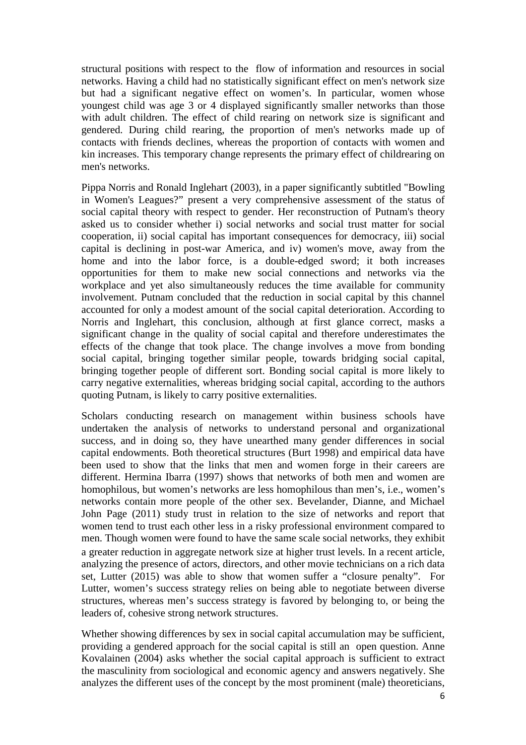structural positions with respect to the flow of information and resources in social networks. Having a child had no statistically significant effect on men's network size but had a significant negative effect on women's. In particular, women whose youngest child was age 3 or 4 displayed significantly smaller networks than those with adult children. The effect of child rearing on network size is significant and gendered. During child rearing, the proportion of men's networks made up of contacts with friends declines, whereas the proportion of contacts with women and kin increases. This temporary change represents the primary effect of childrearing on men's networks.

Pippa Norris and Ronald Inglehart (2003), in a paper significantly subtitled "Bowling in Women's Leagues?" present a very comprehensive assessment of the status of social capital theory with respect to gender. Her reconstruction of Putnam's theory asked us to consider whether i) social networks and social trust matter for social cooperation, ii) social capital has important consequences for democracy, iii) social capital is declining in post-war America, and iv) women's move, away from the home and into the labor force, is a double-edged sword; it both increases opportunities for them to make new social connections and networks via the workplace and yet also simultaneously reduces the time available for community involvement. Putnam concluded that the reduction in social capital by this channel accounted for only a modest amount of the social capital deterioration. According to Norris and Inglehart, this conclusion, although at first glance correct, masks a significant change in the quality of social capital and therefore underestimates the effects of the change that took place. The change involves a move from bonding social capital, bringing together similar people, towards bridging social capital, bringing together people of different sort. Bonding social capital is more likely to carry negative externalities, whereas bridging social capital, according to the authors quoting Putnam, is likely to carry positive externalities.

Scholars conducting research on management within business schools have undertaken the analysis of networks to understand personal and organizational success, and in doing so, they have unearthed many gender differences in social capital endowments. Both theoretical structures (Burt 1998) and empirical data have been used to show that the links that men and women forge in their careers are different. Hermina Ibarra (1997) shows that networks of both men and women are homophilous, but women's networks are less homophilous than men's, i.e., women's networks contain more people of the other sex. Bevelander, Dianne, and Michael John Page (2011) study trust in relation to the size of networks and report that women tend to trust each other less in a risky professional environment compared to men. Though women were found to have the same scale social networks, they exhibit a greater reduction in aggregate network size at higher trust levels. In a recent article, analyzing the presence of actors, directors, and other movie technicians on a rich data set, Lutter (2015) was able to show that women suffer a "closure penalty". For Lutter, women's success strategy relies on being able to negotiate between diverse structures, whereas men's success strategy is favored by belonging to, or being the leaders of, cohesive strong network structures.

Whether showing differences by sex in social capital accumulation may be sufficient, providing a gendered approach for the social capital is still an open question. Anne Kovalainen (2004) asks whether the social capital approach is sufficient to extract the masculinity from sociological and economic agency and answers negatively. She analyzes the different uses of the concept by the most prominent (male) theoreticians,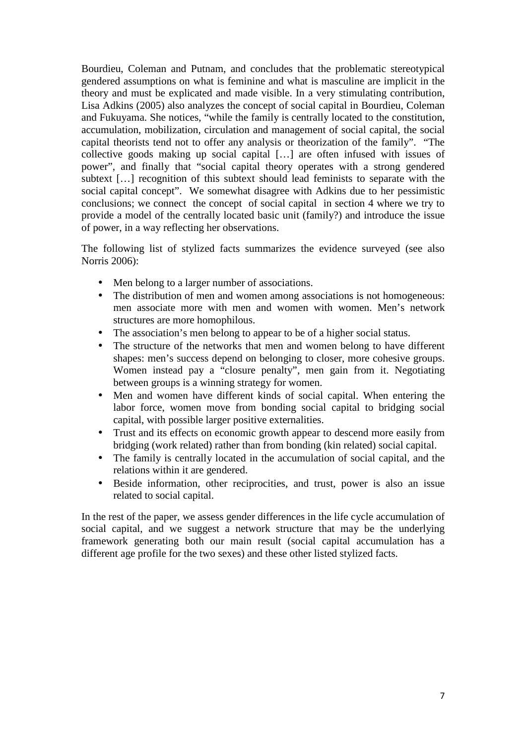Bourdieu, Coleman and Putnam, and concludes that the problematic stereotypical gendered assumptions on what is feminine and what is masculine are implicit in the theory and must be explicated and made visible. In a very stimulating contribution, Lisa Adkins (2005) also analyzes the concept of social capital in Bourdieu, Coleman and Fukuyama. She notices, "while the family is centrally located to the constitution, accumulation, mobilization, circulation and management of social capital, the social capital theorists tend not to offer any analysis or theorization of the family". "The collective goods making up social capital […] are often infused with issues of power", and finally that "social capital theory operates with a strong gendered subtext […] recognition of this subtext should lead feminists to separate with the social capital concept". We somewhat disagree with Adkins due to her pessimistic conclusions; we connect the concept of social capital in section 4 where we try to provide a model of the centrally located basic unit (family?) and introduce the issue of power, in a way reflecting her observations.

The following list of stylized facts summarizes the evidence surveyed (see also Norris 2006):

- Men belong to a larger number of associations.
- The distribution of men and women among associations is not homogeneous: men associate more with men and women with women. Men's network structures are more homophilous.
- The association's men belong to appear to be of a higher social status.
- The structure of the networks that men and women belong to have different shapes: men's success depend on belonging to closer, more cohesive groups. Women instead pay a "closure penalty", men gain from it. Negotiating between groups is a winning strategy for women.
- Men and women have different kinds of social capital. When entering the labor force, women move from bonding social capital to bridging social capital, with possible larger positive externalities.
- Trust and its effects on economic growth appear to descend more easily from bridging (work related) rather than from bonding (kin related) social capital.
- The family is centrally located in the accumulation of social capital, and the relations within it are gendered.
- Beside information, other reciprocities, and trust, power is also an issue related to social capital.

In the rest of the paper, we assess gender differences in the life cycle accumulation of social capital, and we suggest a network structure that may be the underlying framework generating both our main result (social capital accumulation has a different age profile for the two sexes) and these other listed stylized facts.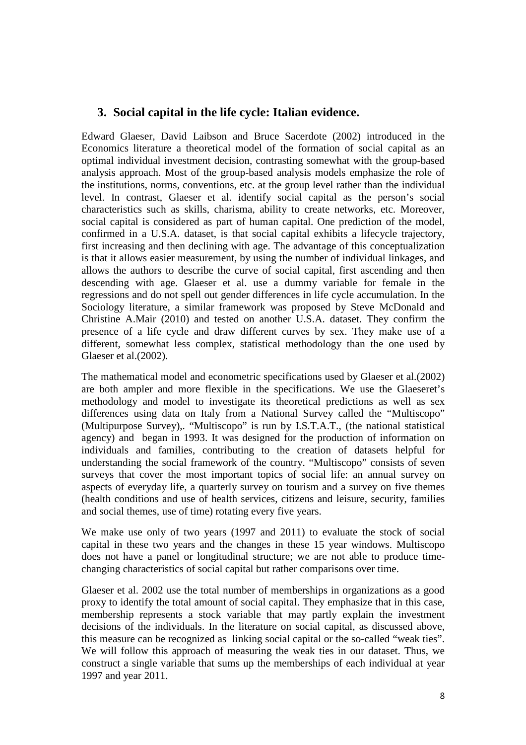## **3. Social capital in the life cycle: Italian evidence.**

Edward Glaeser, David Laibson and Bruce Sacerdote (2002) introduced in the Economics literature a theoretical model of the formation of social capital as an optimal individual investment decision, contrasting somewhat with the group-based analysis approach. Most of the group-based analysis models emphasize the role of the institutions, norms, conventions, etc. at the group level rather than the individual level. In contrast, Glaeser et al. identify social capital as the person's social characteristics such as skills, charisma, ability to create networks, etc. Moreover, social capital is considered as part of human capital. One prediction of the model, confirmed in a U.S.A. dataset, is that social capital exhibits a lifecycle trajectory, first increasing and then declining with age. The advantage of this conceptualization is that it allows easier measurement, by using the number of individual linkages, and allows the authors to describe the curve of social capital, first ascending and then descending with age. Glaeser et al. use a dummy variable for female in the regressions and do not spell out gender differences in life cycle accumulation. In the Sociology literature, a similar framework was proposed by Steve McDonald and Christine A.Mair (2010) and tested on another U.S.A. dataset. They confirm the presence of a life cycle and draw different curves by sex. They make use of a different, somewhat less complex, statistical methodology than the one used by Glaeser et al.(2002).

The mathematical model and econometric specifications used by Glaeser et al.(2002) are both ampler and more flexible in the specifications. We use the Glaeseret's methodology and model to investigate its theoretical predictions as well as sex differences using data on Italy from a National Survey called the "Multiscopo" (Multipurpose Survey),. "Multiscopo" is run by I.S.T.A.T., (the national statistical agency) and began in 1993. It was designed for the production of information on individuals and families, contributing to the creation of datasets helpful for understanding the social framework of the country. "Multiscopo" consists of seven surveys that cover the most important topics of social life: an annual survey on aspects of everyday life, a quarterly survey on tourism and a survey on five themes (health conditions and use of health services, citizens and leisure, security, families and social themes, use of time) rotating every five years.

We make use only of two years (1997 and 2011) to evaluate the stock of social capital in these two years and the changes in these 15 year windows. Multiscopo does not have a panel or longitudinal structure; we are not able to produce timechanging characteristics of social capital but rather comparisons over time.

Glaeser et al. 2002 use the total number of memberships in organizations as a good proxy to identify the total amount of social capital. They emphasize that in this case, membership represents a stock variable that may partly explain the investment decisions of the individuals. In the literature on social capital, as discussed above, this measure can be recognized as linking social capital or the so-called "weak ties". We will follow this approach of measuring the weak ties in our dataset. Thus, we construct a single variable that sums up the memberships of each individual at year 1997 and year 2011.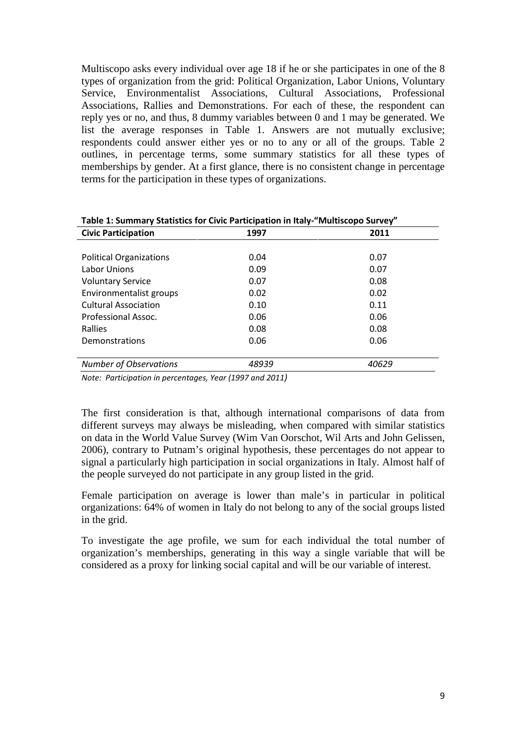Multiscopo asks every individual over age 18 if he or she participates in one of the 8 types of organization from the grid: Political Organization, Labor Unions, Voluntary Service, Environmentalist Associations, Cultural Associations, Professional Associations, Rallies and Demonstrations. For each of these, the respondent can reply yes or no, and thus, 8 dummy variables between 0 and 1 may be generated. We list the average responses in Table 1. Answers are not mutually exclusive; respondents could answer either yes or no to any or all of the groups. Table 2 outlines, in percentage terms, some summary statistics for all these types of memberships by gender. At a first glance, there is no consistent change in percentage terms for the participation in these types of organizations.

| Table 1: Summary Statistics for Civic Participation in Italy- Multiscopo Survey |       |       |  |
|---------------------------------------------------------------------------------|-------|-------|--|
| <b>Civic Participation</b>                                                      | 1997  | 2011  |  |
|                                                                                 |       |       |  |
| <b>Political Organizations</b>                                                  | 0.04  | 0.07  |  |
| Labor Unions                                                                    | 0.09  | 0.07  |  |
| <b>Voluntary Service</b>                                                        | 0.07  | 0.08  |  |
| Environmentalist groups                                                         | 0.02  | 0.02  |  |
| <b>Cultural Association</b>                                                     | 0.10  | 0.11  |  |
| Professional Assoc.                                                             | 0.06  | 0.06  |  |
| Rallies                                                                         | 0.08  | 0.08  |  |
| Demonstrations                                                                  | 0.06  | 0.06  |  |
|                                                                                 |       |       |  |
| <b>Number of Observations</b>                                                   | 48939 | 40629 |  |

**Table 1: Summary Statistics for Civic Participation in Italy-"Multiscopo Survey"**

*Note: Participation in percentages, Year (1997 and 2011)* 

The first consideration is that, although international comparisons of data from different surveys may always be misleading, when compared with similar statistics on data in the World Value Survey (Wim Van Oorschot, Wil Arts and John Gelissen, 2006), contrary to Putnam's original hypothesis, these percentages do not appear to signal a particularly high participation in social organizations in Italy. Almost half of the people surveyed do not participate in any group listed in the grid.

Female participation on average is lower than male's in particular in political organizations: 64% of women in Italy do not belong to any of the social groups listed in the grid.

To investigate the age profile, we sum for each individual the total number of organization's memberships, generating in this way a single variable that will be considered as a proxy for linking social capital and will be our variable of interest.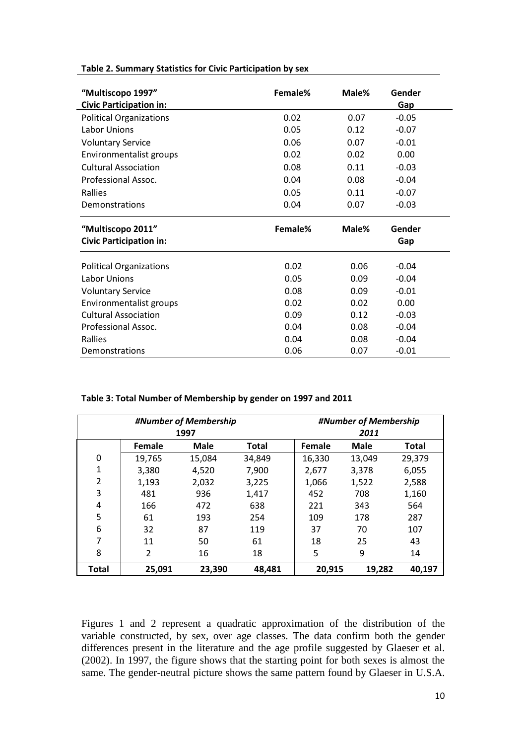| "Multiscopo 1997"<br><b>Civic Participation in:</b> | Female% | Male% | Gender<br>Gap      |
|-----------------------------------------------------|---------|-------|--------------------|
| <b>Political Organizations</b>                      | 0.02    | 0.07  | $-0.05$            |
| Labor Unions                                        | 0.05    | 0.12  | $-0.07$            |
| <b>Voluntary Service</b>                            | 0.06    | 0.07  | $-0.01$            |
| Environmentalist groups                             | 0.02    | 0.02  | 0.00               |
| <b>Cultural Association</b>                         | 0.08    | 0.11  | $-0.03$            |
| Professional Assoc.                                 | 0.04    | 0.08  | $-0.04$            |
| Rallies                                             | 0.05    | 0.11  | $-0.07$            |
| Demonstrations                                      | 0.04    | 0.07  | $-0.03$            |
|                                                     |         |       |                    |
| "Multiscopo 2011"<br><b>Civic Participation in:</b> | Female% | Male% | Gender<br>Gap      |
|                                                     | 0.02    | 0.06  |                    |
| <b>Political Organizations</b><br>Labor Unions      | 0.05    | 0.09  | $-0.04$<br>$-0.04$ |
|                                                     | 0.08    | 0.09  | $-0.01$            |
| <b>Voluntary Service</b><br>Environmentalist groups | 0.02    | 0.02  | 0.00               |
| Cultural Association                                | 0.09    | 0.12  | $-0.03$            |
| Professional Assoc.                                 | 0.04    | 0.08  | $-0.04$            |
| Rallies                                             | 0.04    | 0.08  | $-0.04$            |

#### **Table 2. Summary Statistics for Civic Participation by sex**

| #Number of Membership<br>1997 |        | #Number of Membership<br>2011 |              |        |             |        |
|-------------------------------|--------|-------------------------------|--------------|--------|-------------|--------|
|                               | Female | <b>Male</b>                   | <b>Total</b> | Female | <b>Male</b> | Total  |
| 0                             | 19,765 | 15,084                        | 34,849       | 16,330 | 13,049      | 29,379 |
| 1                             | 3,380  | 4,520                         | 7,900        | 2,677  | 3,378       | 6,055  |
| $\overline{2}$                | 1,193  | 2,032                         | 3,225        | 1,066  | 1,522       | 2,588  |
| 3                             | 481    | 936                           | 1,417        | 452    | 708         | 1,160  |
| 4                             | 166    | 472                           | 638          | 221    | 343         | 564    |
| 5                             | 61     | 193                           | 254          | 109    | 178         | 287    |
| 6                             | 32     | 87                            | 119          | 37     | 70          | 107    |
| $\overline{7}$                | 11     | 50                            | 61           | 18     | 25          | 43     |
| 8                             | 2      | 16                            | 18           | 5      | 9           | 14     |
| <b>Total</b>                  | 25,091 | 23,390                        | 48,481       | 20,915 | 19,282      | 40,197 |

#### **Table 3: Total Number of Membership by gender on 1997 and 2011**

Figures 1 and 2 represent a quadratic approximation of the distribution of the variable constructed, by sex, over age classes. The data confirm both the gender differences present in the literature and the age profile suggested by Glaeser et al. (2002). In 1997, the figure shows that the starting point for both sexes is almost the same. The gender-neutral picture shows the same pattern found by Glaeser in U.S.A.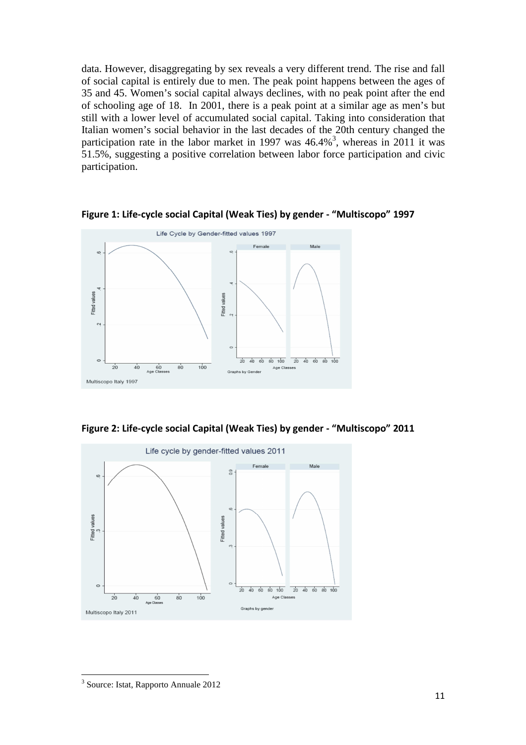data. However, disaggregating by sex reveals a very different trend. The rise and fall of social capital is entirely due to men. The peak point happens between the ages of 35 and 45. Women's social capital always declines, with no peak point after the end of schooling age of 18. In 2001, there is a peak point at a similar age as men's but still with a lower level of accumulated social capital. Taking into consideration that Italian women's social behavior in the last decades of the 20th century changed the participation rate in the labor market in 1997 was  $46.4\%$ <sup>3</sup>, whereas in 2011 it was 51.5%, suggesting a positive correlation between labor force participation and civic participation.



**Figure 1: Life-cycle social Capital (Weak Ties) by gender - "Multiscopo" 1997** 

**Figure 2: Life-cycle social Capital (Weak Ties) by gender - "Multiscopo" 2011** 



 $\overline{\phantom{0}}$ 

<sup>3</sup> Source: Istat, Rapporto Annuale 2012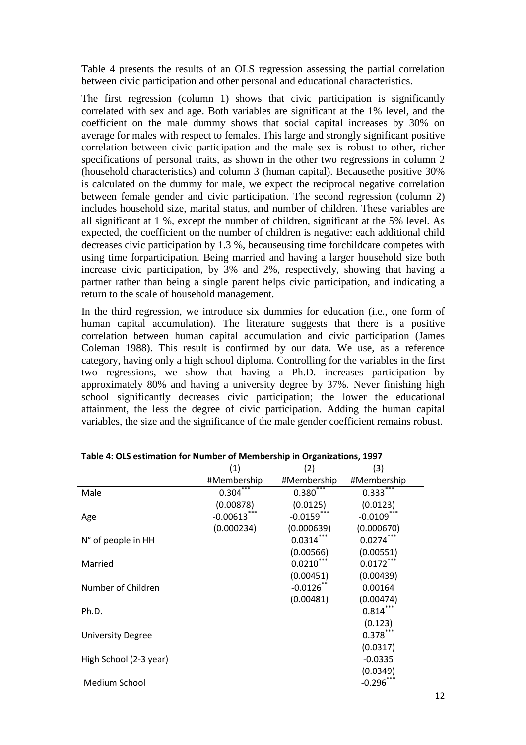Table 4 presents the results of an OLS regression assessing the partial correlation between civic participation and other personal and educational characteristics.

The first regression (column 1) shows that civic participation is significantly correlated with sex and age. Both variables are significant at the 1% level, and the coefficient on the male dummy shows that social capital increases by 30% on average for males with respect to females. This large and strongly significant positive correlation between civic participation and the male sex is robust to other, richer specifications of personal traits, as shown in the other two regressions in column 2 (household characteristics) and column 3 (human capital). Becausethe positive 30% is calculated on the dummy for male, we expect the reciprocal negative correlation between female gender and civic participation. The second regression (column 2) includes household size, marital status, and number of children. These variables are all significant at 1 %, except the number of children, significant at the 5% level. As expected, the coefficient on the number of children is negative: each additional child decreases civic participation by 1.3 %, becauseusing time forchildcare competes with using time forparticipation. Being married and having a larger household size both increase civic participation, by 3% and 2%, respectively, showing that having a partner rather than being a single parent helps civic participation, and indicating a return to the scale of household management.

In the third regression, we introduce six dummies for education (i.e., one form of human capital accumulation). The literature suggests that there is a positive correlation between human capital accumulation and civic participation (James Coleman 1988). This result is confirmed by our data. We use, as a reference category, having only a high school diploma. Controlling for the variables in the first two regressions, we show that having a Ph.D. increases participation by approximately 80% and having a university degree by 37%. Never finishing high school significantly decreases civic participation; the lower the educational attainment, the less the degree of civic participation. Adding the human capital variables, the size and the significance of the male gender coefficient remains robust.

| rapic 4. OLS estimation for number of inclinicially in Organizations, 1997 |             |              |             |
|----------------------------------------------------------------------------|-------------|--------------|-------------|
|                                                                            | (1)         | (2)          | (3)         |
|                                                                            | #Membership | #Membership  | #Membership |
| Male                                                                       | 0.304       | $0.380***$   | $0.333***$  |
|                                                                            | (0.00878)   | (0.0125)     | (0.0123)    |
| Age                                                                        | $-0.00613$  | $-0.0159$    | $-0.0109$   |
|                                                                            | (0.000234)  | (0.000639)   | (0.000670)  |
| N° of people in HH                                                         |             | $0.0314$ *   | $0.0274***$ |
|                                                                            |             | (0.00566)    | (0.00551)   |
| Married                                                                    |             | $0.0210***$  | $0.0172***$ |
|                                                                            |             | (0.00451)    | (0.00439)   |
| Number of Children                                                         |             | $-0.0126$ ** | 0.00164     |
|                                                                            |             | (0.00481)    | (0.00474)   |
| Ph.D.                                                                      |             |              | $0.814***$  |
|                                                                            |             |              | (0.123)     |
| <b>University Degree</b>                                                   |             |              | $0.378^{r}$ |
|                                                                            |             |              | (0.0317)    |
| High School (2-3 year)                                                     |             |              | $-0.0335$   |
|                                                                            |             |              | (0.0349)    |
| Medium School                                                              |             |              | $-0.296$    |
|                                                                            |             |              |             |

**Table 4: OLS estimation for Number of Membership in Organizations, 1997**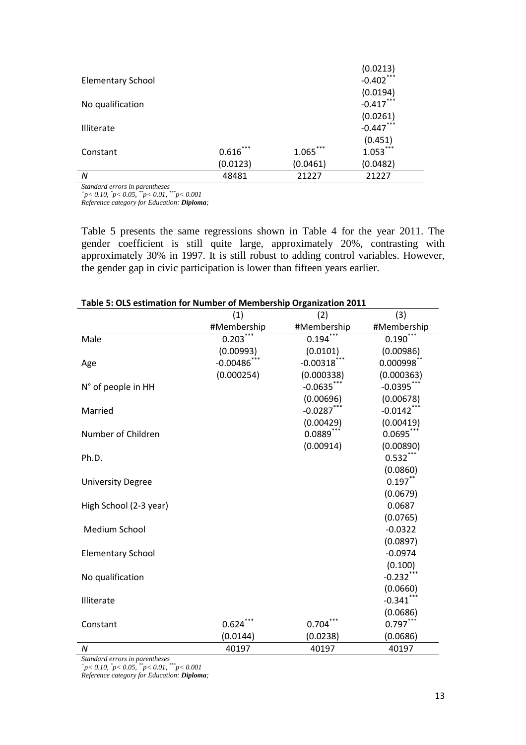|                          |            |            | (0.0213)     |
|--------------------------|------------|------------|--------------|
| <b>Elementary School</b> |            |            | $-0.402$ *** |
|                          |            |            | (0.0194)     |
| No qualification         |            |            | $-0.417***$  |
|                          |            |            | (0.0261)     |
| <b>Illiterate</b>        |            |            | $-0.447***$  |
|                          |            |            | (0.451)      |
| Constant                 | $0.616***$ | $1.065***$ | $1.053***$   |
|                          | (0.0123)   | (0.0461)   | (0.0482)     |
| N                        | 48481      | 21227      | 21227        |

*Standard errors in parentheses + p< 0.10, \* p< 0.05, \*\*p< 0.01, \*\*\*p< 0.001* 

*Reference category for Education: Diploma;* 

Table 5 presents the same regressions shown in Table 4 for the year 2011. The gender coefficient is still quite large, approximately 20%, contrasting with approximately 30% in 1997. It is still robust to adding control variables. However, the gender gap in civic participation is lower than fifteen years earlier.

|                          | on for namber of membersing organization z<br>(1) | (2)            | (3)           |
|--------------------------|---------------------------------------------------|----------------|---------------|
|                          | #Membership                                       | #Membership    | #Membership   |
| Male                     | $0.203$ <sup>***</sup>                            | 0.194          | 0.190         |
|                          | (0.00993)                                         | (0.0101)       | (0.00986)     |
| Age                      | $-0.00486$ ***                                    | $-0.00318$ *** | $0.000998$ ** |
|                          | (0.000254)                                        | (0.000338)     | (0.000363)    |
| N° of people in HH       |                                                   | $-0.0635$ ***  | $-0.0395$ *** |
|                          |                                                   | (0.00696)      | (0.00678)     |
| Married                  |                                                   | $-0.0287$ ***  | $-0.0142$ *** |
|                          |                                                   | (0.00429)      | (0.00419)     |
| Number of Children       |                                                   | $0.0889***$    | $0.0695***$   |
|                          |                                                   | (0.00914)      | (0.00890)     |
| Ph.D.                    |                                                   |                | $0.532***$    |
|                          |                                                   |                | (0.0860)      |
| <b>University Degree</b> |                                                   |                | $0.197***$    |
|                          |                                                   |                | (0.0679)      |
| High School (2-3 year)   |                                                   |                | 0.0687        |
|                          |                                                   |                | (0.0765)      |
| Medium School            |                                                   |                | $-0.0322$     |
|                          |                                                   |                | (0.0897)      |
| <b>Elementary School</b> |                                                   |                | $-0.0974$     |
|                          |                                                   |                | (0.100)       |
| No qualification         |                                                   |                | $-0.232***$   |
|                          |                                                   |                | (0.0660)      |
| Illiterate               |                                                   |                | $-0.341***$   |
|                          |                                                   |                | (0.0686)      |
| Constant                 | $0.624***$                                        | $0.704***$     | $0.797***$    |
|                          | (0.0144)                                          | (0.0238)       | (0.0686)      |
| $\boldsymbol{N}$         | 40197                                             | 40197          | 40197         |

|  |  | Table 5: OLS estimation for Number of Membership Organization 2011 |
|--|--|--------------------------------------------------------------------|
|  |  |                                                                    |

*Standard errors in parentheses + p< 0.10, \* p< 0.05, \*\*p< 0.01, \*\*\*p< 0.001* 

*Reference category for Education: Diploma;*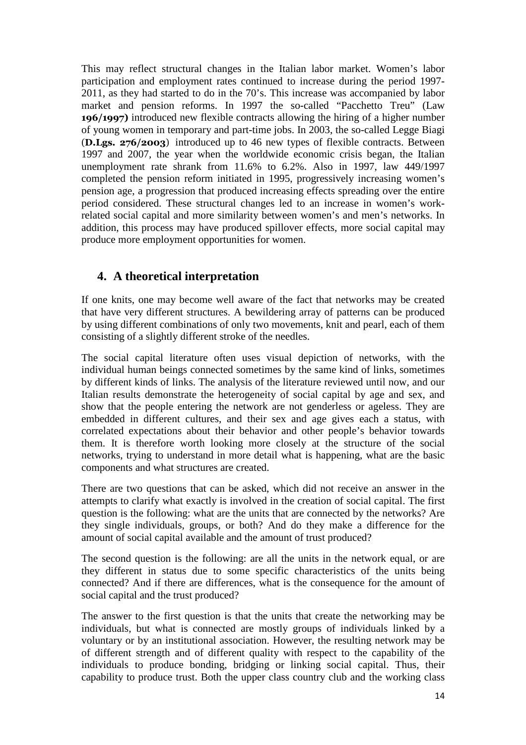This may reflect structural changes in the Italian labor market. Women's labor participation and employment rates continued to increase during the period 1997- 2011, as they had started to do in the 70's. This increase was accompanied by labor market and pension reforms. In 1997 the so-called "Pacchetto Treu" (Law **196/1997)** introduced new flexible contracts allowing the hiring of a higher number of young women in temporary and part-time jobs. In 2003, the so-called Legge Biagi (**D.Lgs. 276/2003**) introduced up to 46 new types of flexible contracts. Between 1997 and 2007, the year when the worldwide economic crisis began, the Italian unemployment rate shrank from 11.6% to 6.2%. Also in 1997, law 449/1997 completed the pension reform initiated in 1995, progressively increasing women's pension age, a progression that produced increasing effects spreading over the entire period considered. These structural changes led to an increase in women's workrelated social capital and more similarity between women's and men's networks. In addition, this process may have produced spillover effects, more social capital may produce more employment opportunities for women.

## **4. A theoretical interpretation**

If one knits, one may become well aware of the fact that networks may be created that have very different structures. A bewildering array of patterns can be produced by using different combinations of only two movements, knit and pearl, each of them consisting of a slightly different stroke of the needles.

The social capital literature often uses visual depiction of networks, with the individual human beings connected sometimes by the same kind of links, sometimes by different kinds of links. The analysis of the literature reviewed until now, and our Italian results demonstrate the heterogeneity of social capital by age and sex, and show that the people entering the network are not genderless or ageless. They are embedded in different cultures, and their sex and age gives each a status, with correlated expectations about their behavior and other people's behavior towards them. It is therefore worth looking more closely at the structure of the social networks, trying to understand in more detail what is happening, what are the basic components and what structures are created.

There are two questions that can be asked, which did not receive an answer in the attempts to clarify what exactly is involved in the creation of social capital. The first question is the following: what are the units that are connected by the networks? Are they single individuals, groups, or both? And do they make a difference for the amount of social capital available and the amount of trust produced?

The second question is the following: are all the units in the network equal, or are they different in status due to some specific characteristics of the units being connected? And if there are differences, what is the consequence for the amount of social capital and the trust produced?

The answer to the first question is that the units that create the networking may be individuals, but what is connected are mostly groups of individuals linked by a voluntary or by an institutional association. However, the resulting network may be of different strength and of different quality with respect to the capability of the individuals to produce bonding, bridging or linking social capital. Thus, their capability to produce trust. Both the upper class country club and the working class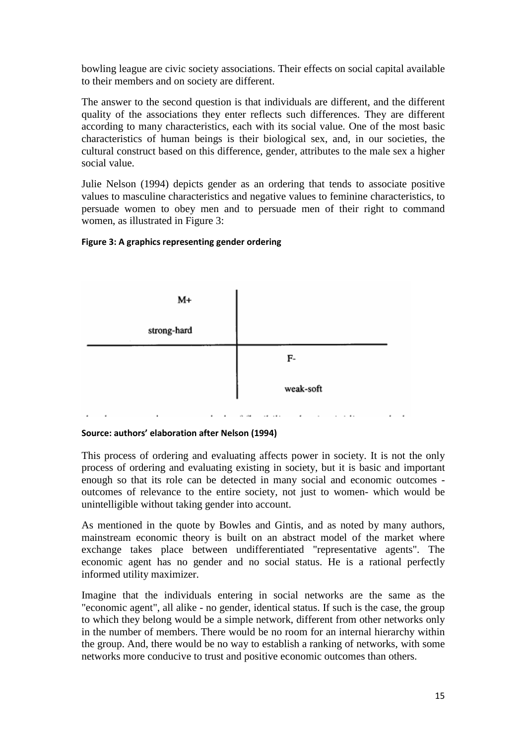bowling league are civic society associations. Their effects on social capital available to their members and on society are different.

The answer to the second question is that individuals are different, and the different quality of the associations they enter reflects such differences. They are different according to many characteristics, each with its social value. One of the most basic characteristics of human beings is their biological sex, and, in our societies, the cultural construct based on this difference, gender, attributes to the male sex a higher social value.

Julie Nelson (1994) depicts gender as an ordering that tends to associate positive values to masculine characteristics and negative values to feminine characteristics, to persuade women to obey men and to persuade men of their right to command women, as illustrated in Figure 3:

#### **Figure 3: A graphics representing gender ordering**



#### **Source: authors' elaboration after Nelson (1994)**

This process of ordering and evaluating affects power in society. It is not the only process of ordering and evaluating existing in society, but it is basic and important enough so that its role can be detected in many social and economic outcomes outcomes of relevance to the entire society, not just to women- which would be unintelligible without taking gender into account.

As mentioned in the quote by Bowles and Gintis, and as noted by many authors, mainstream economic theory is built on an abstract model of the market where exchange takes place between undifferentiated "representative agents". The economic agent has no gender and no social status. He is a rational perfectly informed utility maximizer.

Imagine that the individuals entering in social networks are the same as the "economic agent", all alike - no gender, identical status. If such is the case, the group to which they belong would be a simple network, different from other networks only in the number of members. There would be no room for an internal hierarchy within the group. And, there would be no way to establish a ranking of networks, with some networks more conducive to trust and positive economic outcomes than others.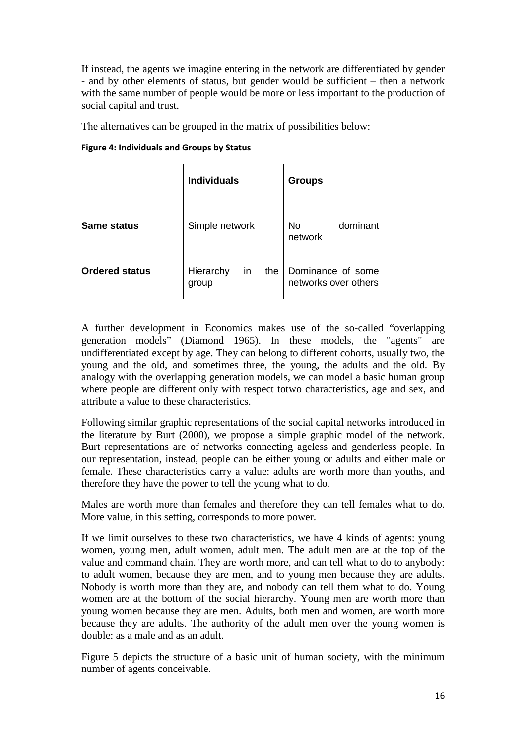If instead, the agents we imagine entering in the network are differentiated by gender - and by other elements of status, but gender would be sufficient – then a network with the same number of people would be more or less important to the production of social capital and trust.

 $\mathbf{r}$ 

The alternatives can be grouped in the matrix of possibilities below:

#### **Figure 4: Individuals and Groups by Status**

|                       | <b>Individuals</b>              | <b>Groups</b>                             |
|-----------------------|---------------------------------|-------------------------------------------|
| <b>Same status</b>    | Simple network                  | dominant<br>No.<br>network                |
| <b>Ordered status</b> | in<br>Hierarchy<br>the<br>group | Dominance of some<br>networks over others |

A further development in Economics makes use of the so-called "overlapping generation models" (Diamond 1965). In these models, the "agents" are undifferentiated except by age. They can belong to different cohorts, usually two, the young and the old, and sometimes three, the young, the adults and the old. By analogy with the overlapping generation models, we can model a basic human group where people are different only with respect totwo characteristics, age and sex, and attribute a value to these characteristics.

Following similar graphic representations of the social capital networks introduced in the literature by Burt (2000), we propose a simple graphic model of the network. Burt representations are of networks connecting ageless and genderless people. In our representation, instead, people can be either young or adults and either male or female. These characteristics carry a value: adults are worth more than youths, and therefore they have the power to tell the young what to do.

Males are worth more than females and therefore they can tell females what to do. More value, in this setting, corresponds to more power.

If we limit ourselves to these two characteristics, we have 4 kinds of agents: young women, young men, adult women, adult men. The adult men are at the top of the value and command chain. They are worth more, and can tell what to do to anybody: to adult women, because they are men, and to young men because they are adults. Nobody is worth more than they are, and nobody can tell them what to do. Young women are at the bottom of the social hierarchy. Young men are worth more than young women because they are men. Adults, both men and women, are worth more because they are adults. The authority of the adult men over the young women is double: as a male and as an adult.

Figure 5 depicts the structure of a basic unit of human society, with the minimum number of agents conceivable.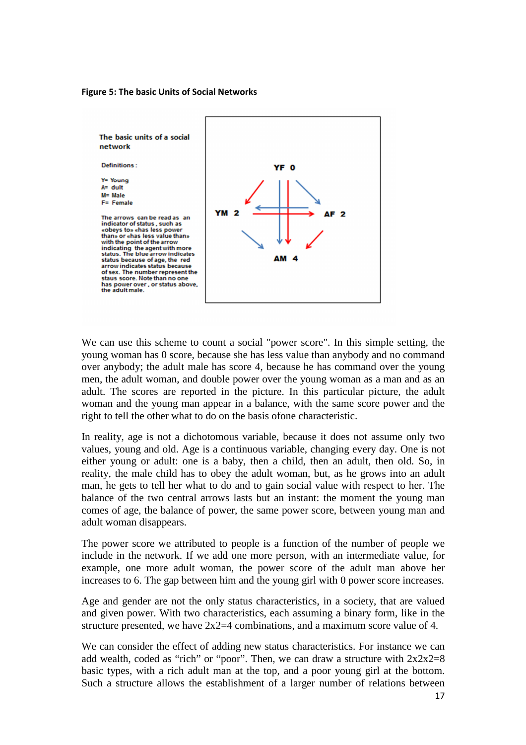#### **Figure 5: The basic Units of Social Networks**



We can use this scheme to count a social "power score". In this simple setting, the young woman has 0 score, because she has less value than anybody and no command over anybody; the adult male has score 4, because he has command over the young men, the adult woman, and double power over the young woman as a man and as an adult. The scores are reported in the picture. In this particular picture, the adult woman and the young man appear in a balance, with the same score power and the right to tell the other what to do on the basis ofone characteristic.

In reality, age is not a dichotomous variable, because it does not assume only two values, young and old. Age is a continuous variable, changing every day. One is not either young or adult: one is a baby, then a child, then an adult, then old. So, in reality, the male child has to obey the adult woman, but, as he grows into an adult man, he gets to tell her what to do and to gain social value with respect to her. The balance of the two central arrows lasts but an instant: the moment the young man comes of age, the balance of power, the same power score, between young man and adult woman disappears.

The power score we attributed to people is a function of the number of people we include in the network. If we add one more person, with an intermediate value, for example, one more adult woman, the power score of the adult man above her increases to 6. The gap between him and the young girl with 0 power score increases.

Age and gender are not the only status characteristics, in a society, that are valued and given power. With two characteristics, each assuming a binary form, like in the structure presented, we have  $2x^2=4$  combinations, and a maximum score value of 4.

We can consider the effect of adding new status characteristics. For instance we can add wealth, coded as "rich" or "poor". Then, we can draw a structure with  $2x2x2=8$ basic types, with a rich adult man at the top, and a poor young girl at the bottom. Such a structure allows the establishment of a larger number of relations between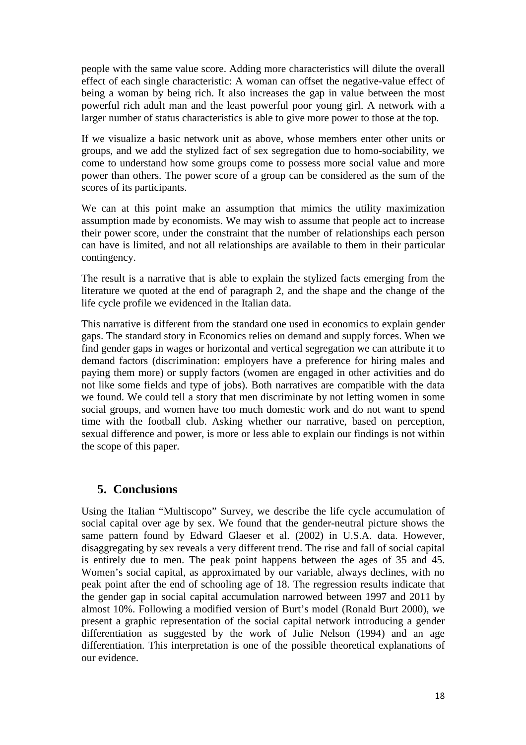people with the same value score. Adding more characteristics will dilute the overall effect of each single characteristic: A woman can offset the negative-value effect of being a woman by being rich. It also increases the gap in value between the most powerful rich adult man and the least powerful poor young girl. A network with a larger number of status characteristics is able to give more power to those at the top.

If we visualize a basic network unit as above, whose members enter other units or groups, and we add the stylized fact of sex segregation due to homo-sociability, we come to understand how some groups come to possess more social value and more power than others. The power score of a group can be considered as the sum of the scores of its participants.

We can at this point make an assumption that mimics the utility maximization assumption made by economists. We may wish to assume that people act to increase their power score, under the constraint that the number of relationships each person can have is limited, and not all relationships are available to them in their particular contingency.

The result is a narrative that is able to explain the stylized facts emerging from the literature we quoted at the end of paragraph 2, and the shape and the change of the life cycle profile we evidenced in the Italian data.

This narrative is different from the standard one used in economics to explain gender gaps. The standard story in Economics relies on demand and supply forces. When we find gender gaps in wages or horizontal and vertical segregation we can attribute it to demand factors (discrimination: employers have a preference for hiring males and paying them more) or supply factors (women are engaged in other activities and do not like some fields and type of jobs). Both narratives are compatible with the data we found. We could tell a story that men discriminate by not letting women in some social groups, and women have too much domestic work and do not want to spend time with the football club. Asking whether our narrative, based on perception, sexual difference and power, is more or less able to explain our findings is not within the scope of this paper.

### **5. Conclusions**

Using the Italian "Multiscopo" Survey, we describe the life cycle accumulation of social capital over age by sex. We found that the gender-neutral picture shows the same pattern found by Edward Glaeser et al. (2002) in U.S.A. data. However, disaggregating by sex reveals a very different trend. The rise and fall of social capital is entirely due to men. The peak point happens between the ages of 35 and 45. Women's social capital, as approximated by our variable, always declines, with no peak point after the end of schooling age of 18. The regression results indicate that the gender gap in social capital accumulation narrowed between 1997 and 2011 by almost 10%. Following a modified version of Burt's model (Ronald Burt 2000), we present a graphic representation of the social capital network introducing a gender differentiation as suggested by the work of Julie Nelson (1994) and an age differentiation. This interpretation is one of the possible theoretical explanations of our evidence.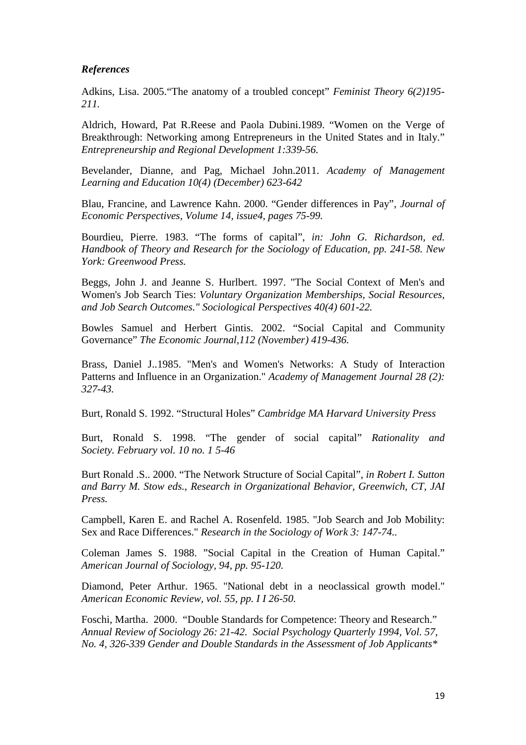#### *References*

Adkins, Lisa. 2005."The anatomy of a troubled concept" *Feminist Theory 6(2)195- 211.* 

Aldrich, Howard, Pat R.Reese and Paola Dubini.1989. "Women on the Verge of Breakthrough: Networking among Entrepreneurs in the United States and in Italy." *Entrepreneurship and Regional Development 1:339-56.*

Bevelander, Dianne, and Pag, Michael John.2011. *Academy of Management Learning and Education 10(4) (December) 623-642* 

Blau, Francine, and Lawrence Kahn. 2000. "Gender differences in Pay", *Journal of Economic Perspectives, Volume 14, issue4, pages 75-99.* 

Bourdieu, Pierre. 1983. "The forms of capital", *in: John G. Richardson, ed. Handbook of Theory and Research for the Sociology of Education, pp. 241-58. New York: Greenwood Press.* 

Beggs, John J. and Jeanne S. Hurlbert. 1997. "The Social Context of Men's and Women's Job Search Ties: *Voluntary Organization Memberships, Social Resources, and Job Search Outcomes." Sociological Perspectives 40(4) 601-22.* 

Bowles Samuel and Herbert Gintis. 2002. "Social Capital and Community Governance" *The Economic Journal,112 (November) 419-436.* 

Brass, Daniel J..1985. "Men's and Women's Networks: A Study of Interaction Patterns and Influence in an Organization." *Academy of Management Journal 28 (2): 327-43.* 

Burt, Ronald S. 1992. "Structural Holes" *Cambridge MA Harvard University Press* 

Burt, Ronald S. 1998. "The gender of social capital" *Rationality and Society. February vol. 10 no. 1 5-46* 

Burt Ronald .S.. 2000. "The Network Structure of Social Capital", *in Robert I. Sutton and Barry M. Stow eds., Research in Organizational Behavior, Greenwich, CT, JAI Press.* 

Campbell, Karen E. and Rachel A. Rosenfeld. 1985. "Job Search and Job Mobility: Sex and Race Differences." *Research in the Sociology of Work 3: 147-74..* 

Coleman James S. 1988. "Social Capital in the Creation of Human Capital." *American Journal of Sociology, 94, pp. 95-120.* 

Diamond, Peter Arthur. 1965. "National debt in a neoclassical growth model." *American Economic Review, vol. 55, pp. I I 26-50.* 

Foschi, Martha. 2000. "Double Standards for Competence: Theory and Research." *Annual Review of Sociology 26: 21-42. Social Psychology Quarterly 1994, Vol. 57, No. 4, 326-339 Gender and Double Standards in the Assessment of Job Applicants\**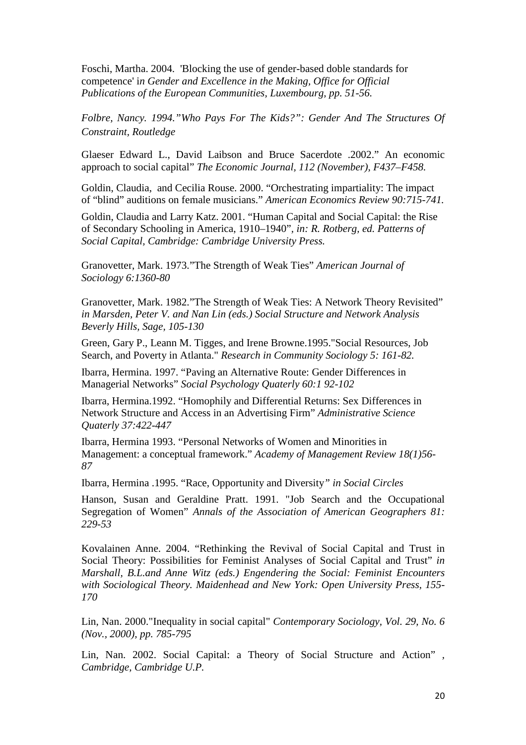Foschi, Martha. 2004. 'Blocking the use of gender-based doble standards for competence' i*n Gender and Excellence in the Making, Office for Official Publications of the European Communities, Luxembourg, pp. 51-56.* 

*Folbre, Nancy. 1994."Who Pays For The Kids?": Gender And The Structures Of Constraint, Routledge* 

Glaeser Edward L., David Laibson and Bruce Sacerdote .2002." An economic approach to social capital" *The Economic Journal, 112 (November), F437–F458.* 

Goldin, Claudia, and Cecilia Rouse. 2000. "Orchestrating impartiality: The impact of "blind" auditions on female musicians." *American Economics Review 90:715-741.* 

Goldin, Claudia and Larry Katz. 2001. "Human Capital and Social Capital: the Rise of Secondary Schooling in America, 1910–1940"*, in: R. Rotberg, ed. Patterns of Social Capital, Cambridge: Cambridge University Press.* 

Granovetter, Mark. 1973."The Strength of Weak Ties" *American Journal of Sociology 6:1360-80* 

Granovetter, Mark. 1982."The Strength of Weak Ties: A Network Theory Revisited" *in Marsden, Peter V. and Nan Lin (eds.) Social Structure and Network Analysis Beverly Hills, Sage, 105-130* 

Green, Gary P., Leann M. Tigges, and Irene Browne.1995."Social Resources, Job Search, and Poverty in Atlanta." *Research in Community Sociology 5: 161-82.* 

Ibarra, Hermina. 1997. "Paving an Alternative Route: Gender Differences in Managerial Networks" *Social Psychology Quaterly 60:1 92-102* 

Ibarra, Hermina.1992. "Homophily and Differential Returns: Sex Differences in Network Structure and Access in an Advertising Firm" *Administrative Science Quaterly 37:422-447* 

Ibarra, Hermina 1993. "Personal Networks of Women and Minorities in Management: a conceptual framework." *Academy of Management Review 18(1)56- 87* 

Ibarra, Hermina .1995. "Race, Opportunity and Diversity*" in Social Circles* 

Hanson, Susan and Geraldine Pratt. 1991. "Job Search and the Occupational Segregation of Women" *Annals of the Association of American Geographers 81: 229-53* 

Kovalainen Anne. 2004. "Rethinking the Revival of Social Capital and Trust in Social Theory: Possibilities for Feminist Analyses of Social Capital and Trust" *in Marshall, B.L.and Anne Witz (eds.) Engendering the Social: Feminist Encounters with Sociological Theory. Maidenhead and New York: Open University Press, 155- 170* 

Lin, Nan. 2000."Inequality in social capital" *Contemporary Sociology, Vol. 29, No. 6 (Nov., 2000), pp. 785-795* 

Lin, Nan. 2002. Social Capital: a Theory of Social Structure and Action" *, Cambridge, Cambridge U.P.*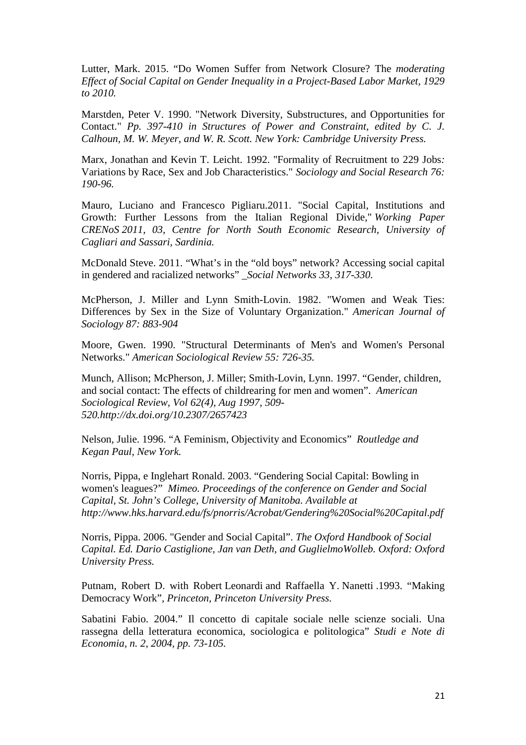Lutter, Mark. 2015. "Do Women Suffer from Network Closure? The *moderating Effect of Social Capital on Gender Inequality in a Project-Based Labor Market, 1929 to 2010.* 

Marstden, Peter V. 1990. "Network Diversity, Substructures, and Opportunities for Contact." *Pp. 397-410 in Structures of Power and Constraint, edited by C. J. Calhoun, M. W. Meyer, and W. R. Scott. New York: Cambridge University Press.* 

Marx, Jonathan and Kevin T. Leicht. 1992. ''Formality of Recruitment to 229 Jobs*:*  Variations by Race, Sex and Job Characteristics." *Sociology and Social Research 76: 190-96.* 

Mauro, Luciano and Francesco Pigliaru.2011. "Social Capital, Institutions and Growth: Further Lessons from the Italian Regional Divide," *Working Paper CRENoS 2011, 03, Centre for North South Economic Research, University of Cagliari and Sassari, Sardinia.* 

McDonald Steve. 2011. "What's in the "old boys" network? Accessing social capital in gendered and racialized networks" *\_Social Networks 33, 317-330.* 

McPherson, J. Miller and Lynn Smith-Lovin. 1982. "Women and Weak Ties: Differences by Sex in the Size of Voluntary Organization." *American Journal of Sociology 87: 883-904* 

Moore, Gwen. 1990. "Structural Determinants of Men's and Women's Personal Networks." *American Sociological Review 55: 726-35.* 

Munch, Allison; McPherson, J. Miller; Smith-Lovin, Lynn. 1997. "Gender, children, and social contact: The effects of childrearing for men and women". *American Sociological Review, Vol 62(4), Aug 1997, 509- 520.http://dx.doi.org/10.2307/2657423* 

Nelson, Julie. 1996. "A Feminism, Objectivity and Economics" *Routledge and Kegan Paul, New York.* 

Norris, Pippa, e Inglehart Ronald. 2003. "Gendering Social Capital: Bowling in women's leagues?" *Mimeo. Proceedings of the conference on Gender and Social Capital, St. John's College, University of Manitoba. Available at http://www.hks.harvard.edu/fs/pnorris/Acrobat/Gendering%20Social%20Capital.pdf* 

Norris, Pippa. 2006. "Gender and Social Capital". *The Oxford Handbook of Social Capital. Ed. Dario Castiglione, Jan van Deth, and GuglielmoWolleb. Oxford: Oxford University Press.* 

Putnam, Robert D. with Robert Leonardi and Raffaella Y. Nanetti .1993. "Making Democracy Work"*, Princeton, Princeton University Press.* 

Sabatini Fabio. 2004." Il concetto di capitale sociale nelle scienze sociali. Una rassegna della letteratura economica, sociologica e politologica" *Studi e Note di Economia, n. 2, 2004, pp. 73-105.*